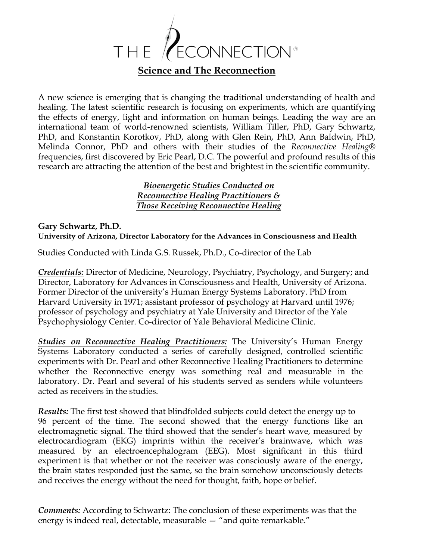

A new science is emerging that is changing the traditional understanding of health and healing. The latest scientific research is focusing on experiments, which are quantifying the effects of energy, light and information on human beings. Leading the way are an international team of world-renowned scientists, William Tiller, PhD, Gary Schwartz, PhD, and Konstantin Korotkov, PhD, along with Glen Rein, PhD, Ann Baldwin, PhD, Melinda Connor, PhD and others with their studies of the *Reconnective Healing®*  frequencies, first discovered by Eric Pearl, D.C. The powerful and profound results of this research are attracting the attention of the best and brightest in the scientific community.

### *Bioenergetic Studies Conducted on Reconnective Healing Practitioners & Those Receiving Reconnective Healing*

#### **Gary Schwartz, Ph.D. University of Arizona, Director Laboratory for the Advances in Consciousness and Health**

Studies Conducted with Linda G.S. Russek, Ph.D., Co-director of the Lab

*Credentials:* Director of Medicine, Neurology, Psychiatry, Psychology, and Surgery; and Director, Laboratory for Advances in Consciousness and Health, University of Arizona. Former Director of the university's Human Energy Systems Laboratory. PhD from Harvard University in 1971; assistant professor of psychology at Harvard until 1976; professor of psychology and psychiatry at Yale University and Director of the Yale Psychophysiology Center. Co-director of Yale Behavioral Medicine Clinic.

*Studies on Reconnective Healing Practitioners:* The University's Human Energy Systems Laboratory conducted a series of carefully designed, controlled scientific experiments with Dr. Pearl and other Reconnective Healing Practitioners to determine whether the Reconnective energy was something real and measurable in the laboratory. Dr. Pearl and several of his students served as senders while volunteers acted as receivers in the studies.

*Results:* The first test showed that blindfolded subjects could detect the energy up to 96 percent of the time. The second showed that the energy functions like an electromagnetic signal. The third showed that the sender's heart wave, measured by electrocardiogram (EKG) imprints within the receiver's brainwave, which was measured by an electroencephalogram (EEG). Most significant in this third experiment is that whether or not the receiver was consciously aware of the energy, the brain states responded just the same, so the brain somehow unconsciously detects and receives the energy without the need for thought, faith, hope or belief.

*Comments:* According to Schwartz: The conclusion of these experiments was that the energy is indeed real, detectable, measurable — "and quite remarkable."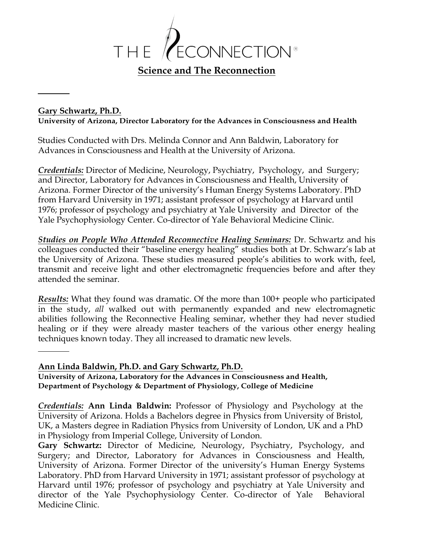

#### **Gary Schwartz, Ph.D.**

**University of Arizona, Director Laboratory for the Advances in Consciousness and Health**

Studies Conducted with Drs. Melinda Connor and Ann Baldwin, Laboratory for Advances in Consciousness and Health at the University of Arizona.

*Credentials:* Director of Medicine, Neurology, Psychiatry, Psychology, and Surgery; and Director, Laboratory for Advances in Consciousness and Health, University of Arizona. Former Director of the university's Human Energy Systems Laboratory. PhD from Harvard University in 1971; assistant professor of psychology at Harvard until 1976; professor of psychology and psychiatry at Yale University and Director of the Yale Psychophysiology Center. Co-director of Yale Behavioral Medicine Clinic.

*Studies on People Who Attended Reconnective Healing Seminars:* Dr. Schwartz and his colleagues conducted their "baseline energy healing" studies both at Dr. Schwarz's lab at the University of Arizona. These studies measured people's abilities to work with, feel, transmit and receive light and other electromagnetic frequencies before and after they attended the seminar.

*Results:* What they found was dramatic. Of the more than 100+ people who participated in the study, *all* walked out with permanently expanded and new electromagnetic abilities following the Reconnective Healing seminar, whether they had never studied healing or if they were already master teachers of the various other energy healing techniques known today. They all increased to dramatic new levels.

#### **Ann Linda Baldwin, Ph.D. and Gary Schwartz, Ph.D.**

**University of Arizona, Laboratory for the Advances in Consciousness and Health, Department of Psychology & Department of Physiology, College of Medicine**

*Credentials:* **Ann Linda Baldwin:** Professor of Physiology and Psychology at the University of Arizona. Holds a Bachelors degree in Physics from University of Bristol, UK, a Masters degree in Radiation Physics from University of London, UK and a PhD in Physiology from Imperial College, University of London.

**Gary Schwartz:** Director of Medicine, Neurology, Psychiatry, Psychology, and Surgery; and Director, Laboratory for Advances in Consciousness and Health, University of Arizona. Former Director of the university's Human Energy Systems Laboratory. PhD from Harvard University in 1971; assistant professor of psychology at Harvard until 1976; professor of psychology and psychiatry at Yale University and director of the Yale Psychophysiology Center. Co-director of Yale Behavioral Medicine Clinic.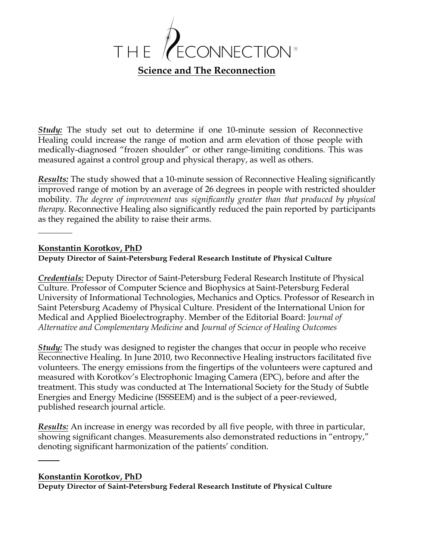

*Study:* The study set out to determine if one 10-minute session of Reconnective Healing could increase the range of motion and arm elevation of those people with medically-diagnosed "frozen shoulder" or other range-limiting conditions. This was measured against a control group and physical therapy, as well as others.

*Results:* The study showed that a 10-minute session of Reconnective Healing significantly improved range of motion by an average of 26 degrees in people with restricted shoulder mobility. *The degree of improvement was significantly greater than that produced by physical therapy*. Reconnective Healing also significantly reduced the pain reported by participants as they regained the ability to raise their arms.

#### **Konstantin Korotkov, PhD**

#### **Deputy Director of Saint-Petersburg Federal Research Institute of Physical Culture**

*Credentials:* Deputy Director of Saint-Petersburg Federal Research Institute of Physical Culture. Professor of Computer Science and Biophysics at Saint-Petersburg Federal University of Informational Technologies, Mechanics and Optics. Professor of Research in Saint Petersburg Academy of Physical Culture. President of the International Union for Medical and Applied Bioelectrography. Member of the Editorial Board: J*ournal of Alternative and Complementary Medicine* and *Journal of Science of Healing Outcomes*

*Study:* The study was designed to register the changes that occur in people who receive Reconnective Healing. In June 2010, two Reconnective Healing instructors facilitated five volunteers. The energy emissions from the fingertips of the volunteers were captured and measured with Korotkov's Electrophonic Imaging Camera (EPC), before and after the treatment. This study was conducted at The International Society for the Study of Subtle Energies and Energy Medicine (ISSSEEM) and is the subject of a peer-reviewed, published research journal article.

*Results:* An increase in energy was recorded by all five people, with three in particular, showing significant changes. Measurements also demonstrated reductions in "entropy," denoting significant harmonization of the patients' condition.

#### **Konstantin Korotkov, PhD**

**Deputy Director of Saint-Petersburg Federal Research Institute of Physical Culture**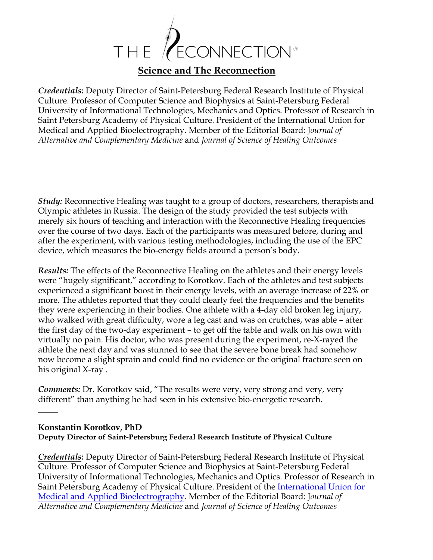

*Credentials:* Deputy Director of Saint-Petersburg Federal Research Institute of Physical Culture. Professor of Computer Science and Biophysics at Saint-Petersburg Federal University of Informational Technologies, Mechanics and Optics. Professor of Research in Saint Petersburg Academy of Physical Culture. President of the International Union for Medical and Applied Bioelectrography. Member of the Editorial Board: J*ournal of Alternative and Complementary Medicine* and *Journal of Science of Healing Outcomes*

*Study:* Reconnective Healing was taught to a group of doctors, researchers, therapists and Olympic athletes in Russia. The design of the study provided the test subjects with merely six hours of teaching and interaction with the Reconnective Healing frequencies over the course of two days. Each of the participants was measured before, during and after the experiment, with various testing methodologies, including the use of the EPC device, which measures the bio-energy fields around a person's body.

*Results:* The effects of the Reconnective Healing on the athletes and their energy levels were "hugely significant," according to Korotkov. Each of the athletes and test subjects experienced a significant boost in their energy levels, with an average increase of 22% or more. The athletes reported that they could clearly feel the frequencies and the benefits they were experiencing in their bodies. One athlete with a 4-day old broken leg injury, who walked with great difficulty, wore a leg cast and was on crutches, was able – after the first day of the two-day experiment – to get off the table and walk on his own with virtually no pain. His doctor, who was present during the experiment, re-X-rayed the athlete the next day and was stunned to see that the severe bone break had somehow now become a slight sprain and could find no evidence or the original fracture seen on his original X-ray .

*Comments:* Dr. Korotkov said, "The results were very, very strong and very, very different" than anything he had seen in his extensive bio-energetic research.

#### **Konstantin Korotkov, PhD Deputy Director of Saint-Petersburg Federal Research Institute of Physical Culture**

*Credentials:* Deputy Director of Saint-Petersburg Federal Research Institute of Physical Culture. Professor of Computer Science and Biophysics at Saint-Petersburg Federal University of Informational Technologies, Mechanics and Optics. Professor of Research in Saint Petersburg Academy of Physical Culture. President of the International Union for Medical and Applied Bioelectrography. Member of the Editorial Board: J*ournal of Alternative and Complementary Medicine* and *Journal of Science of Healing Outcomes*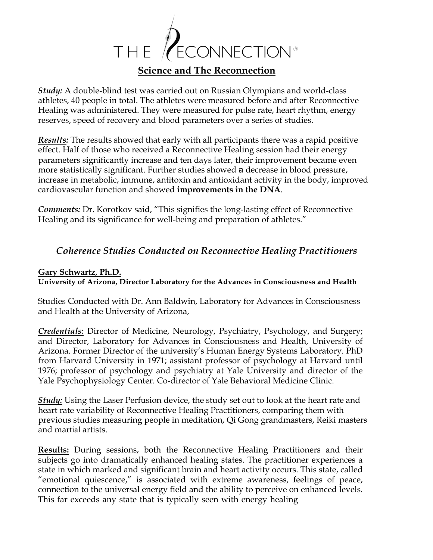

*Study:* A double-blind test was carried out on Russian Olympians and world-class athletes, 40 people in total. The athletes were measured before and after Reconnective Healing was administered. They were measured for pulse rate, heart rhythm, energy reserves, speed of recovery and blood parameters over a series of studies.

*Results:* The results showed that early with all participants there was a rapid positive effect. Half of those who received a Reconnective Healing session had their energy parameters significantly increase and ten days later, their improvement became even more statistically significant. Further studies showed a decrease in blood pressure, increase in metabolic, immune, antitoxin and antioxidant activity in the body, improved cardiovascular function and showed **improvements in the DNA**.

*Comments:* Dr. Korotkov said, "This signifies the long-lasting effect of Reconnective Healing and its significance for well-being and preparation of athletes."

## *Coherence Studies Conducted on Reconnective Healing Practitioners*

#### **Gary Schwartz, Ph.D.**

**University of Arizona, Director Laboratory for the Advances in Consciousness and Health**

Studies Conducted with Dr. Ann Baldwin, Laboratory for Advances in Consciousness and Health at the University of Arizona,

*Credentials:* Director of Medicine, Neurology, Psychiatry, Psychology, and Surgery; and Director, Laboratory for Advances in Consciousness and Health, University of Arizona. Former Director of the university's Human Energy Systems Laboratory. PhD from Harvard University in 1971; assistant professor of psychology at Harvard until 1976; professor of psychology and psychiatry at Yale University and director of the Yale Psychophysiology Center. Co-director of Yale Behavioral Medicine Clinic.

*Study:* Using the Laser Perfusion device, the study set out to look at the heart rate and heart rate variability of Reconnective Healing Practitioners, comparing them with previous studies measuring people in meditation, Qi Gong grandmasters, Reiki masters and martial artists.

**Results:** During sessions, both the Reconnective Healing Practitioners and their subjects go into dramatically enhanced healing states. The practitioner experiences a state in which marked and significant brain and heart activity occurs. This state, called "emotional quiescence," is associated with extreme awareness, feelings of peace, connection to the universal energy field and the ability to perceive on enhanced levels. This far exceeds any state that is typically seen with energy healing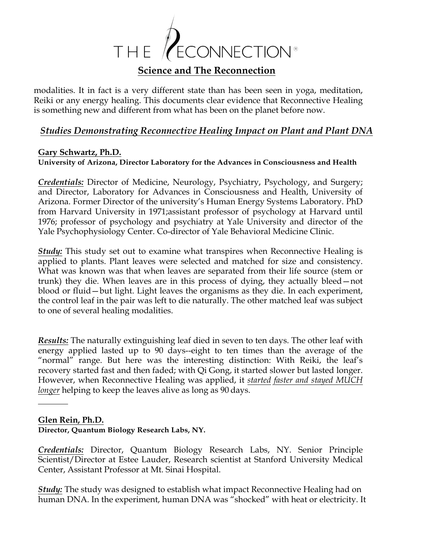

modalities. It in fact is a very different state than has been seen in yoga, meditation, Reiki or any energy healing. This documents clear evidence that Reconnective Healing is something new and different from what has been on the planet before now.

## *Studies Demonstrating Reconnective Healing Impact on Plant and Plant DNA*

### **Gary Schwartz, Ph.D.**

**University of Arizona, Director Laboratory for the Advances in Consciousness and Health**

*Credentials:* Director of Medicine, Neurology, Psychiatry, Psychology, and Surgery; and Director, Laboratory for Advances in Consciousness and Health, University of Arizona. Former Director of the university's Human Energy Systems Laboratory. PhD from Harvard University in 1971;assistant professor of psychology at Harvard until 1976; professor of psychology and psychiatry at Yale University and director of the Yale Psychophysiology Center. Co-director of Yale Behavioral Medicine Clinic.

*Study:* This study set out to examine what transpires when Reconnective Healing is applied to plants. Plant leaves were selected and matched for size and consistency. What was known was that when leaves are separated from their life source (stem or trunk) they die. When leaves are in this process of dying, they actually bleed—not blood or fluid—but light. Light leaves the organisms as they die. In each experiment, the control leaf in the pair was left to die naturally. The other matched leaf was subject to one of several healing modalities.

*Results:* The naturally extinguishing leaf died in seven to ten days. The other leaf with energy applied lasted up to 90 days--eight to ten times than the average of the "normal" range. But here was the interesting distinction: With Reiki, the leaf's recovery started fast and then faded; with Qi Gong, it started slower but lasted longer. However, when Reconnective Healing was applied, it *started faster and stayed MUCH longer* helping to keep the leaves alive as long as 90 days.

#### **Glen Rein, Ph.D.**

#### **Director, Quantum Biology Research Labs, NY.**

*Credentials:* Director, Quantum Biology Research Labs, NY. Senior Principle Scientist/Director at Estee Lauder, Research scientist at Stanford University Medical Center, Assistant Professor at Mt. Sinai Hospital.

*Study:* The study was designed to establish what impact Reconnective Healing had on human DNA. In the experiment, human DNA was "shocked" with heat or electricity. It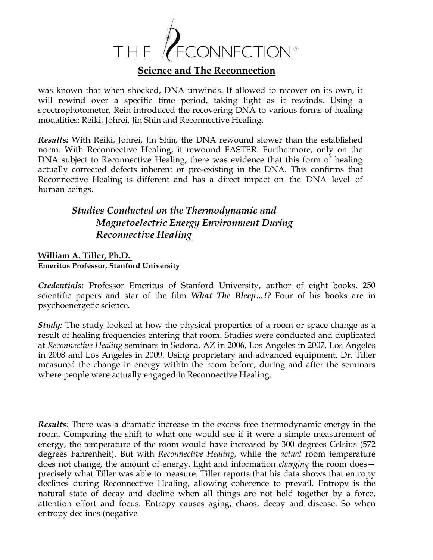

was known that when shocked, DNA unwinds. If allowed to recover on its own, it will rewind over a specific time period, taking light as it rewinds. Using a spectrophotometer, Rein introduced the recovering DNA to various forms of healing modalities: Reiki, Johrei, Jin Shin and Reconnective Healing.

*Results:* With Reiki, Johrei, Jin Shin, the DNA rewound slower than the established norm. With Reconnective Healing, it rewound FASTER. Furthermore, only on the DNA subject to Reconnective Healing, there was evidence that this form of healing actually corrected defects inherent or pre-existing in the DNA. This confirms that Reconnective Healing is different and has a direct impact on the DNA level of human beings.

# *Studies Conducted on the Thermodynamic and Magnetoelectric Energy Environment During Reconnective Healing*

#### **William A. Tiller, Ph.D. Emeritus Professor, Stanford University**

*Credentials:* Professor Emeritus of Stanford University, author of eight books, 250 scientific papers and star of the film *What The Bleep…!?* Four of his books are in psychoenergetic science.

*Study:* The study looked at how the physical properties of a room or space change as a result of healing frequencies entering that room. Studies were conducted and duplicated at *Reconnective Healing* seminars in Sedona, AZ in 2006, Los Angeles in 2007, Los Angeles in 2008 and Los Angeles in 2009. Using proprietary and advanced equipment, Dr. Tiller measured the change in energy within the room before, during and after the seminars where people were actually engaged in Reconnective Healing.

*Results:* There was a dramatic increase in the excess free thermodynamic energy in the room. Comparing the shift to what one would see if it were a simple measurement of energy, the temperature of the room would have increased by 300 degrees Celsius (572 degrees Fahrenheit). But with *Reconnective Healing,* while the *actual* room temperature does not change, the amount of energy, light and information *charging* the room does precisely what Tiller was able to measure. Tiller reports that his data shows that entropy declines during Reconnective Healing, allowing coherence to prevail. Entropy is the natural state of decay and decline when all things are not held together by a force, attention effort and focus. Entropy causes aging, chaos, decay and disease. So when entropy declines (negative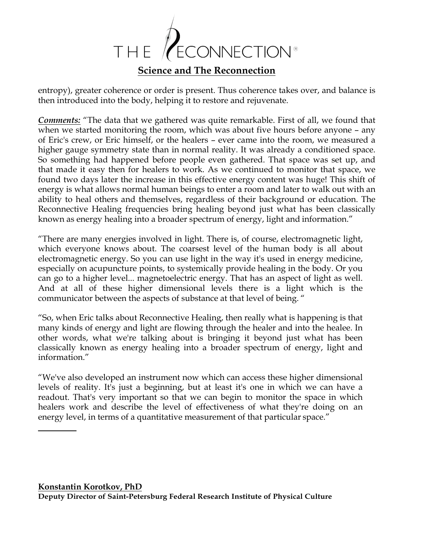

entropy), greater coherence or order is present. Thus coherence takes over, and balance is then introduced into the body, helping it to restore and rejuvenate.

*Comments:* "The data that we gathered was quite remarkable. First of all, we found that when we started monitoring the room, which was about five hours before anyone – any of Eric's crew, or Eric himself, or the healers – ever came into the room, we measured a higher gauge symmetry state than in normal reality. It was already a conditioned space. So something had happened before people even gathered. That space was set up, and that made it easy then for healers to work. As we continued to monitor that space, we found two days later the increase in this effective energy content was huge! This shift of energy is what allows normal human beings to enter a room and later to walk out with an ability to heal others and themselves, regardless of their background or education. The Reconnective Healing frequencies bring healing beyond just what has been classically known as energy healing into a broader spectrum of energy, light and information."

"There are many energies involved in light. There is, of course, electromagnetic light, which everyone knows about. The coarsest level of the human body is all about electromagnetic energy. So you can use light in the way it's used in energy medicine, especially on acupuncture points, to systemically provide healing in the body. Or you can go to a higher level... magnetoelectric energy. That has an aspect of light as well. And at all of these higher dimensional levels there is a light which is the communicator between the aspects of substance at that level of being. "

"So, when Eric talks about Reconnective Healing, then really what is happening is that many kinds of energy and light are flowing through the healer and into the healee. In other words, what we're talking about is bringing it beyond just what has been classically known as energy healing into a broader spectrum of energy, light and information."

"We've also developed an instrument now which can access these higher dimensional levels of reality. It's just a beginning, but at least it's one in which we can have a readout. That's very important so that we can begin to monitor the space in which healers work and describe the level of effectiveness of what they're doing on an energy level, in terms of a quantitative measurement of that particular space."